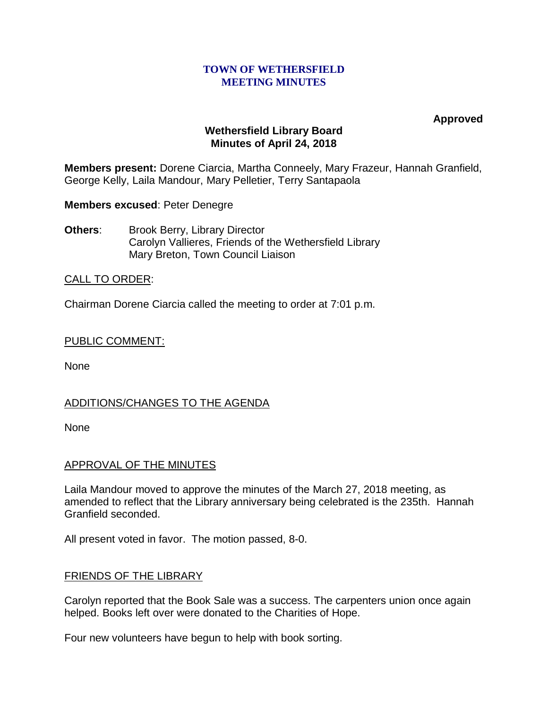### **TOWN OF WETHERSFIELD MEETING MINUTES**

**Approved**

## **Wethersfield Library Board Minutes of April 24, 2018**

**Members present:** Dorene Ciarcia, Martha Conneely, Mary Frazeur, Hannah Granfield, George Kelly, Laila Mandour, Mary Pelletier, Terry Santapaola

**Members excused**: Peter Denegre

**Others:** Brook Berry, Library Director Carolyn Vallieres, Friends of the Wethersfield Library Mary Breton, Town Council Liaison

# CALL TO ORDER:

Chairman Dorene Ciarcia called the meeting to order at 7:01 p.m.

## PUBLIC COMMENT:

None

## ADDITIONS/CHANGES TO THE AGENDA

None

## APPROVAL OF THE MINUTES

Laila Mandour moved to approve the minutes of the March 27, 2018 meeting, as amended to reflect that the Library anniversary being celebrated is the 235th. Hannah Granfield seconded.

All present voted in favor. The motion passed, 8-0.

## FRIENDS OF THE LIBRARY

Carolyn reported that the Book Sale was a success. The carpenters union once again helped. Books left over were donated to the Charities of Hope.

Four new volunteers have begun to help with book sorting.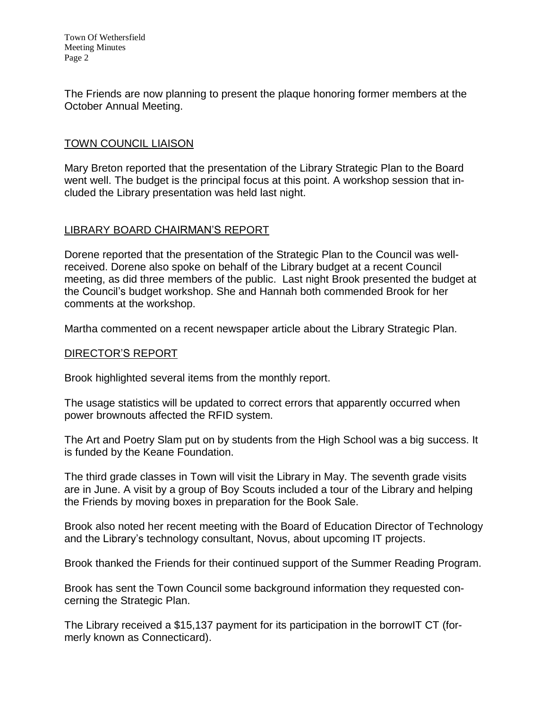The Friends are now planning to present the plaque honoring former members at the October Annual Meeting.

# TOWN COUNCIL LIAISON

Mary Breton reported that the presentation of the Library Strategic Plan to the Board went well. The budget is the principal focus at this point. A workshop session that included the Library presentation was held last night.

# LIBRARY BOARD CHAIRMAN'S REPORT

Dorene reported that the presentation of the Strategic Plan to the Council was wellreceived. Dorene also spoke on behalf of the Library budget at a recent Council meeting, as did three members of the public. Last night Brook presented the budget at the Council's budget workshop. She and Hannah both commended Brook for her comments at the workshop.

Martha commented on a recent newspaper article about the Library Strategic Plan.

## DIRECTOR'S REPORT

Brook highlighted several items from the monthly report.

The usage statistics will be updated to correct errors that apparently occurred when power brownouts affected the RFID system.

The Art and Poetry Slam put on by students from the High School was a big success. It is funded by the Keane Foundation.

The third grade classes in Town will visit the Library in May. The seventh grade visits are in June. A visit by a group of Boy Scouts included a tour of the Library and helping the Friends by moving boxes in preparation for the Book Sale.

Brook also noted her recent meeting with the Board of Education Director of Technology and the Library's technology consultant, Novus, about upcoming IT projects.

Brook thanked the Friends for their continued support of the Summer Reading Program.

Brook has sent the Town Council some background information they requested concerning the Strategic Plan.

The Library received a \$15,137 payment for its participation in the borrowIT CT (formerly known as Connecticard).